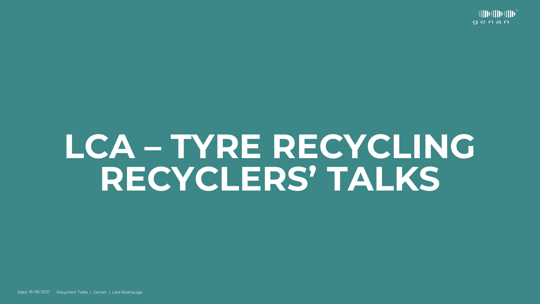# **LCA – TYRE RECYCLING RECYCLERS' TALKS**

Date 16-06-2021 Recyclers' Talks | Genan | Lars Raahauge

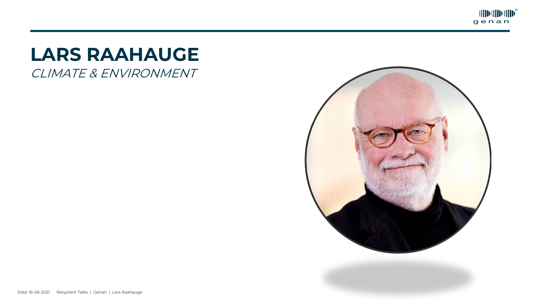



#### CLIMATE & ENVIRONMENT **LARS RAAHAUGE**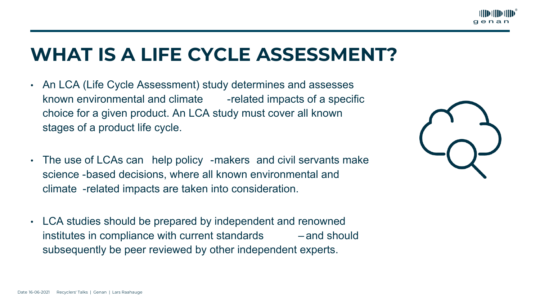# **WHAT IS A LIFE CYCLE ASSESSMENT?**





- An LCA (Life Cycle Assessment) study determines and assesses known environmental and climate -related impacts of a specific choice for a given product. An LCA study must cover all known stages of a product life cycle.
- The use of LCAs can help policy -makers and civil servants make science -based decisions, where all known environmental and climate -related impacts are taken into consideration.
- LCA studies should be prepared by independent and renowned institutes in compliance with current standards – and should subsequently be peer reviewed by other independent experts.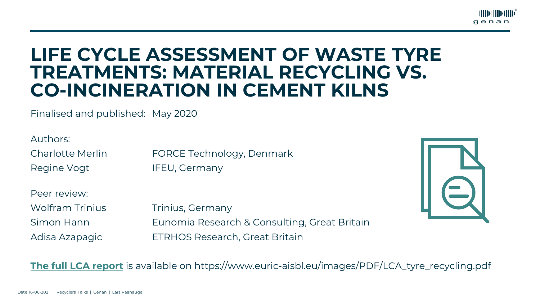



Authors: Regine Vogt IFEU, Germany

#### **LIFE CYCLE ASSESSMENT OF WASTE TYRE TREATMENTS: MATERIAL RECYCLING VS. CO-INCINERATION IN CEMENT KILNS**

Finalised and published: May 2020

Wolfram Trinius Trinius, Germany Simon Hann Eunomia Research & Consulting, Great Britain Adisa Azapagic ETRHOS Research, Great Britain

Charlotte Merlin FORCE Technology, Denmark

Peer review:

**The full [LCA report](https://www.euric-aisbl.eu/images/PDF/LCA_tyre_recycling.pdf)** is available on https://www.euric-aisbl.eu/images/PDF/LCA\_tyre\_recycling.pdf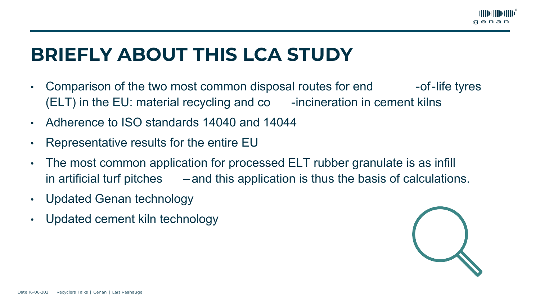## **BRIEFLY ABOUT THIS LCA STUDY**

- Comparison of the two most common disposal routes for end -of-life tyres  $(ELT)$  in the EU: material recycling and co  $-$ incineration in cement kilns
- Adherence to ISO standards 14040 and 14044
- Representative results for the entire EU
- The most common application for processed ELT rubber granulate is as infill in artificial turf pitches  $\qquad -$  and this application is thus the basis of calculations.
- Updated Genan technology
- Updated cement kiln technology



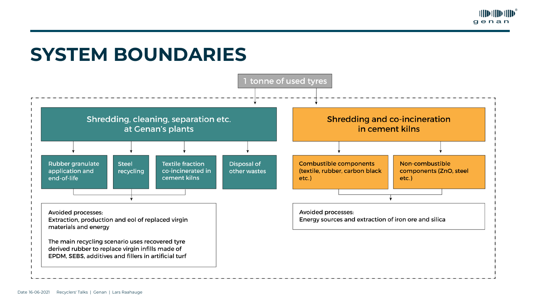#### **SYSTEM BOUNDARIES**



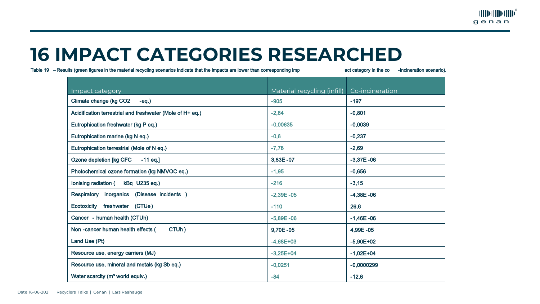#### **16 IMPACT CATEGORIES RESEARCHED**

Table 19 – Results (green figures in the material recycling scenarios indicate that the impacts are lower than corresponding imp act category in the co -incineration scenario).

| Impact category                                           | Material recycling (infill) | Co-incineration |
|-----------------------------------------------------------|-----------------------------|-----------------|
| Climate change (kg CO2<br>$-eq.$                          | $-905$                      | $-197$          |
| Acidification terrestrial and freshwater (Mole of H+ eq.) | $-2,84$                     | $-0,801$        |
| Eutrophication freshwater (kg P eq.)                      | $-0,00635$                  | $-0,0039$       |
| Eutrophication marine (kg N eq.)                          | $-0,6$                      | $-0,237$        |
| Eutrophication terrestrial (Mole of N eq.)                | $-7,78$                     | $-2,69$         |
| Ozone depletion [kg CFC<br>$-11$ eq.]                     | $3,83E - 07$                | $-3,37E -06$    |
| Photochemical ozone formation (kg NMVOC eq.)              | $-1,95$                     | $-0,656$        |
| lonising radiation (<br>kBq U235 eq.)                     | $-216$                      | $-3,15$         |
| (Disease incidents)<br>Respiratory<br>inorganics          | $-2,39E -05$                | $-4,38E -06$    |
| freshwater (CTUe)<br>Ecotoxicity                          | $-110$                      | 26,6            |
| Cancer - human health (CTUh)                              | $-5,89E -06$                | $-1,46E -06$    |
| CTUh)<br>Non-cancer human health effects (                | $9,70E - 05$                | 4,99E-05        |
| Land Use (Pt)                                             | $-4,68E+03$                 | $-5,90E+02$     |
| Resource use, energy carriers (MJ)                        | $-3,25E+04$                 | $-1,02E+04$     |
| Resource use, mineral and metals (kg Sb eq.)              | $-0,0251$                   | $-0,0000299$    |
| Water scarcity (m <sup>3</sup> world equiv.)              | $-84$                       | $-12,6$         |

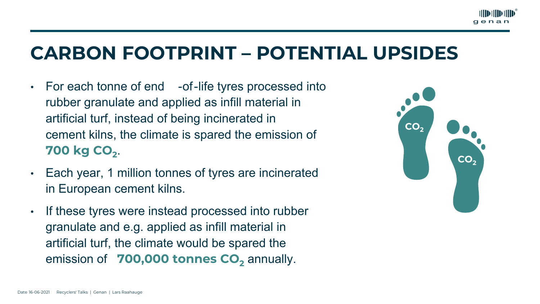### **CARBON FOOTPRINT – POTENTIAL UPSIDES**

- For each tonne of end -of-life tyres processed into rubber granulate and applied as infill material in artificial turf, instead of being incinerated in cement kilns, the climate is spared the emission of **700 kg CO<sub>2</sub>.**
- Each year, 1 million tonnes of tyres are incinerated in European cement kilns.
- If these tyres were instead processed into rubber granulate and e.g. applied as infill material in artificial turf, the climate would be spared the emission of **700,000 tonnes CO**<sub>2</sub> annually.



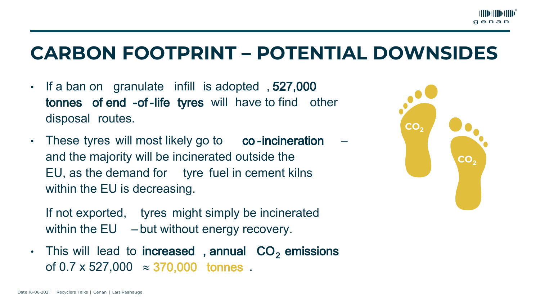- If a ban on granulate infill is adopted , 527,000 tonnes of end -of-life tyres will have to find other disposal routes.
- These tyres will most likely go to co-incineration and the majority will be incinerated outside the EU, as the demand for tyre fuel in cement kilns within the EU is decreasing.
	- If not exported, tyres might simply be incinerated within the EU – but without energy recovery.
- This will lead to increased, annual  $CO<sub>2</sub>$  emissions of  $0.7 \times 527,000 \approx 370,000$  tonnes.

### **CARBON FOOTPRINT – POTENTIAL DOWNSIDES**



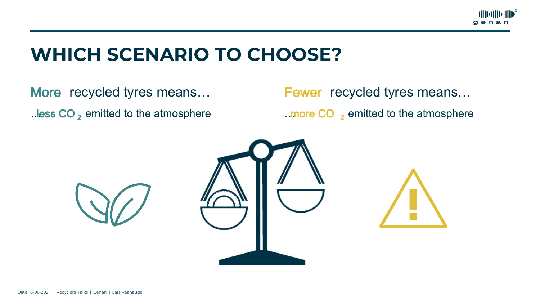### **WHICH SCENARIO TO CHOOSE?**

…less  $CO<sub>2</sub>$  emitted to the atmosphere **EXECO** 2 amitted to the atmosphere More recycled tyres means... Fewer recycled tyres means...